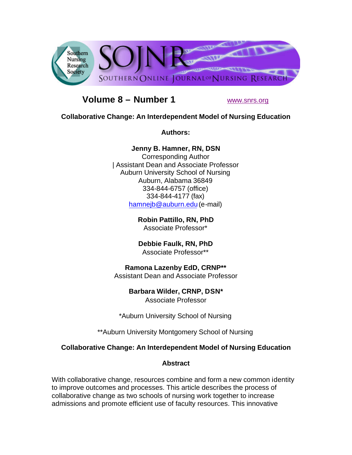

# **Volume 8 – Number 1** www.snrs.org

### **Collaborative Change: An Interdependent Model of Nursing Education**

**Authors:** 

**Jenny B. Hamner, RN, DSN**

Corresponding Author | Assistant Dean and Associate Professor Auburn University School of Nursing Auburn, Alabama 36849 334-844-6757 (office) 334-844-4177 (fax) hamnejb@auburn.edu(e-mail)

> **Robin Pattillo, RN, PhD** Associate Professor\*

**Debbie Faulk, RN, PhD** Associate Professor\*\*

# **Ramona Lazenby EdD, CRNP\*\***

Assistant Dean and Associate Professor

**Barbara Wilder, CRNP, DSN\***

Associate Professor

\*Auburn University School of Nursing

\*\*Auburn University Montgomery School of Nursing

## **Collaborative Change: An Interdependent Model of Nursing Education**

### **Abstract**

With collaborative change, resources combine and form a new common identity to improve outcomes and processes. This article describes the process of collaborative change as two schools of nursing work together to increase admissions and promote efficient use of faculty resources. This innovative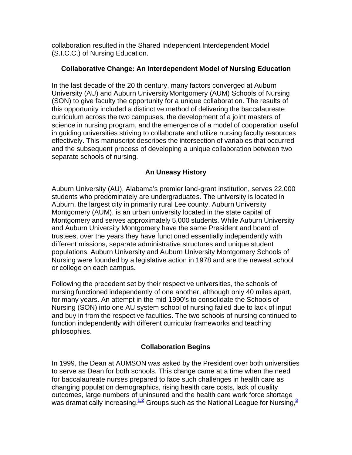collaboration resulted in the Shared Independent Interdependent Model (S.I.C.C.) of Nursing Education.

### **Collaborative Change: An Interdependent Model of Nursing Education**

In the last decade of the 20 th century, many factors converged at Auburn University (AU) and Auburn UniversityMontgomery (AUM) Schools of Nursing (SON) to give faculty the opportunity for a unique collaboration. The results of this opportunity included a distinctive method of delivering the baccalaureate curriculum across the two campuses, the development of a joint masters of science in nursing program, and the emergence of a model of cooperation useful in guiding universities striving to collaborate and utilize nursing faculty resources effectively. This manuscript describes the intersection of variables that occurred and the subsequent process of developing a unique collaboration between two separate schools of nursing.

## **An Uneasy History**

Auburn University (AU), Alabama's premier land-grant institution, serves 22,000 students who predominately are undergraduates. The university is located in Auburn, the largest city in primarily rural Lee county. Auburn University Montgomery (AUM), is an urban university located in the state capital of Montgomery and serves approximately 5,000 students. While Auburn University and Auburn University Montgomery have the same President and board of trustees, over the years they have functioned essentially independently with different missions, separate administrative structures and unique student populations. Auburn University and Auburn University Montgomery Schools of Nursing were founded by a legislative action in 1978 and are the newest school or college on each campus.

Following the precedent set by their respective universities, the schools of nursing functioned independently of one another, although only 40 miles apart, for many years. An attempt in the mid-1990's to consolidate the Schools of Nursing (SON) into one AU system school of nursing failed due to lack of input and buy in from the respective faculties. The two schools of nursing continued to function independently with different curricular frameworks and teaching philosophies.

## **Collaboration Begins**

In 1999, the Dean at AUMSON was asked by the President over both universities to serve as Dean for both schools. This change came at a time when the need for baccalaureate nurses prepared to face such challenges in health care as changing population demographics, rising health care costs, lack of quality outcomes, large numbers of uninsured and the health care work force shortage was dramatically increasing.<sup>1.2</sup> Groups such as the National League for Nursing.<sup>3</sup>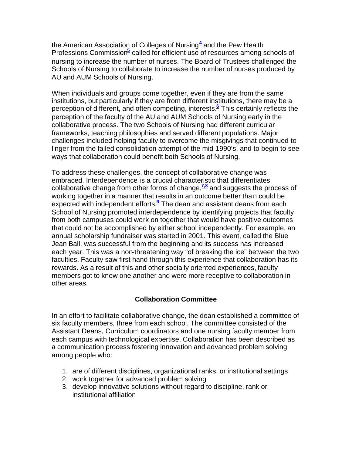the American Association of Colleges of Nursing**<sup>4</sup>** and the Pew Health Professions Commission<sup>5</sup> called for efficient use of resources among schools of nursing to increase the number of nurses. The Board of Trustees challenged the Schools of Nursing to collaborate to increase the number of nurses produced by AU and AUM Schools of Nursing.

When individuals and groups come together, even if they are from the same institutions, but particularly if they are from different institutions, there may be a perception of different, and often competing, interests.**<sup>6</sup>** This certainly reflects the perception of the faculty of the AU and AUM Schools of Nursing early in the collaborative process. The two Schools of Nursing had different curricular frameworks, teaching philosophies and served different populations. Major challenges included helping faculty to overcome the misgivings that continued to linger from the failed consolidation attempt of the mid-1990's, and to begin to see ways that collaboration could benefit both Schools of Nursing.

To address these challenges, the concept of collaborative change was embraced. Interdependence is a crucial characteristic that differentiates collaborative change from other forms of change,**7,8** and suggests the process of working together in a manner that results in an outcome better than could be expected with independent efforts.**<sup>9</sup>** The dean and assistant deans from each School of Nursing promoted interdependence by identifying projects that faculty from both campuses could work on together that would have positive outcomes that could not be accomplished by either school independently. For example, an annual scholarship fundraiser was started in 2001. This event, called the Blue Jean Ball, was successful from the beginning and its success has increased each year. This was a non-threatening way "of breaking the ice" between the two faculties. Faculty saw first hand through this experience that collaboration has its rewards. As a result of this and other socially oriented experiences, faculty members got to know one another and were more receptive to collaboration in other areas.

### **Collaboration Committee**

In an effort to facilitate collaborative change, the dean established a committee of six faculty members, three from each school. The committee consisted of the Assistant Deans, Curriculum coordinators and one nursing faculty member from each campus with technological expertise. Collaboration has been described as a communication process fostering innovation and advanced problem solving among people who:

- 1. are of different disciplines, organizational ranks, or institutional settings
- 2. work together for advanced problem solving
- 3. develop innovative solutions without regard to discipline, rank or institutional affiliation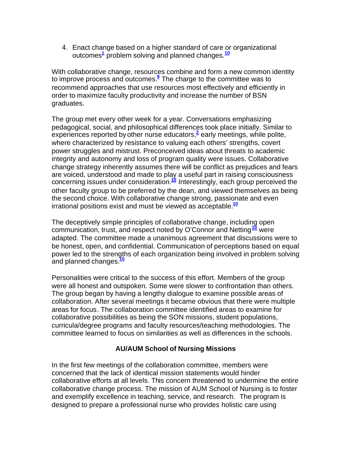4. Enact change based on a higher standard of care or organizational outcomes**<sup>1</sup>** problem solving and planned changes.**<sup>10</sup>**

With collaborative change, resources combine and form a new common identity to improve process and outcomes.**<sup>9</sup>** The charge to the committee was to recommend approaches that use resources most effectively and efficiently in order to maximize faculty productivity and increase the number of BSN graduates.

The group met every other week for a year. Conversations emphasizing pedagogical, social, and philosophical differences took place initially. Similar to experiences reported by other nurse educators,<sup>2</sup> early meetings, while polite, where characterized by resistance to valuing each others' strengths, covert power struggles and mistrust. Preconceived ideas about threats to academic integrity and autonomy and loss of program quality were issues. Collaborative change strategy inherently assumes there will be conflict as prejudices and fears are voiced, understood and made to play a useful part in raising consciousness concerning issues under consideration.**<sup>10</sup>** Interestingly, each group perceived the other faculty group to be preferred by the dean, and viewed themselves as being the second choice. With collaborative change strong, passionate and even irrational positions exist and must be viewed as acceptable.**<sup>10</sup>**

The deceptively simple principles of collaborative change, including open communication, trust, and respect noted by O'Connor and Netting**<sup>10</sup>** were adapted. The committee made a unanimous agreement that discussions were to be honest, open, and confidential. Communication of perceptions based on equal power led to the strengths of each organization being involved in problem solving and planned changes.**<sup>10</sup>**

Personalities were critical to the success of this effort. Members of the group were all honest and outspoken. Some were slower to confrontation than others. The group began by having a lengthy dialogue to examine possible areas of collaboration. After several meetings it became obvious that there were multiple areas for focus. The collaboration committee identified areas to examine for collaborative possibilities as being the SON missions, student populations, curricula/degree programs and faculty resources/teaching methodologies. The committee learned to focus on similarities as well as differences in the schools.

### **AU/AUM School of Nursing Missions**

In the first few meetings of the collaboration committee, members were concerned that the lack of identical mission statements would hinder collaborative efforts at all levels. This concern threatened to undermine the entire collaborative change process. The mission of AUM School of Nursing is to foster and exemplify excellence in teaching, service, and research. The program is designed to prepare a professional nurse who provides holistic care using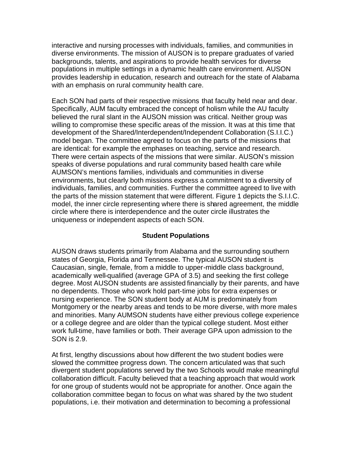interactive and nursing processes with individuals, families, and communities in diverse environments. The mission of AUSON is to prepare graduates of varied backgrounds, talents, and aspirations to provide health services for diverse populations in multiple settings in a dynamic health care environment. AUSON provides leadership in education, research and outreach for the state of Alabama with an emphasis on rural community health care.

Each SON had parts of their respective missions that faculty held near and dear. Specifically, AUM faculty embraced the concept of holism while the AU faculty believed the rural slant in the AUSON mission was critical. Neither group was willing to compromise these specific areas of the mission. It was at this time that development of the Shared/Interdependent/Independent Collaboration (S.I.I.C.) model began. The committee agreed to focus on the parts of the missions that are identical: for example the emphases on teaching, service and research. There were certain aspects of the missions that were similar. AUSON's mission speaks of diverse populations and rural community based health care while AUMSON's mentions families, individuals and communities in diverse environments, but clearly both missions express a commitment to a diversity of individuals, families, and communities. Further the committee agreed to live with the parts of the mission statement that were different. Figure 1 depicts the S.I.I.C. model, the inner circle representing where there is shared agreement, the middle circle where there is interdependence and the outer circle illustrates the uniqueness or independent aspects of each SON.

### **Student Populations**

AUSON draws students primarily from Alabama and the surrounding southern states of Georgia, Florida and Tennessee. The typical AUSON student is Caucasian, single, female, from a middle to upper-middle class background, academically well-qualified (average GPA of 3.5) and seeking the first college degree. Most AUSON students are assisted financially by their parents, and have no dependents. Those who work hold part-time jobs for extra expenses or nursing experience. The SON student body at AUM is predominately from Montgomery or the nearby areas and tends to be more diverse, with more males and minorities. Many AUMSON students have either previous college experience or a college degree and are older than the typical college student. Most either work full-time, have families or both. Their average GPA upon admission to the SON is 2.9.

At first, lengthy discussions about how different the two student bodies were slowed the committee progress down. The concern articulated was that such divergent student populations served by the two Schools would make meaningful collaboration difficult. Faculty believed that a teaching approach that would work for one group of students would not be appropriate for another. Once again the collaboration committee began to focus on what was shared by the two student populations, i.e. their motivation and determination to becoming a professional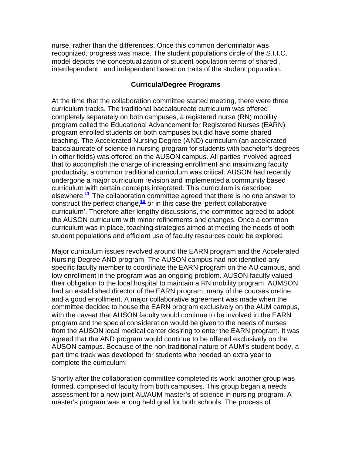nurse, rather than the differences. Once this common denominator was recognized, progress was made. The student populations circle of the S.I.I.C. model depicts the conceptualization of student population terms of shared , interdependent , and independent based on traits of the student population.

#### **Curricula/Degree Programs**

At the time that the collaboration committee started meeting, there were three curriculum tracks. The traditional baccalaureate curriculum was offered completely separately on both campuses, a registered nurse (RN) mobility program called the Educational Advancement for Registered Nurses (EARN) program enrolled students on both campuses but did have some shared teaching. The Accelerated Nursing Degree (AND) curriculum (an accelerated baccalaureate of science in nursing program for students with bachelor's degrees in other fields) was offered on the AUSON campus. All parties involved agreed that to accomplish the charge of increasing enrollment and maximizing faculty productivity, a common traditional curriculum was critical. AUSON had recently undergone a major curriculum revision and implemented a community based curriculum with certain concepts integrated. This curriculum is described elsewhere,**<sup>11</sup>** The collaboration committee agreed that there is no one answer to construct the perfect change,**<sup>10</sup>** or in this case the 'perfect collaborative curriculum'. Therefore after lengthy discussions, the committee agreed to adopt the AUSON curriculum with minor refinements and changes. Once a common curriculum was in place, teaching strategies aimed at meeting the needs of both student populations and efficient use of faculty resources could be explored.

Major curriculum issues revolved around the EARN program and the Accelerated Nursing Degree AND program. The AUSON campus had not identified any specific faculty member to coordinate the EARN program on the AU campus, and low enrollment in the program was an ongoing problem. AUSON faculty valued their obligation to the local hospital to maintain a RN mobility program. AUMSON had an established director of the EARN program, many of the courses on-line and a good enrollment. A major collaborative agreement was made when the committee decided to house the EARN program exclusively on the AUM campus, with the caveat that AUSON faculty would continue to be involved in the EARN program and the special consideration would be given to the needs of nurses from the AUSON local medical center desiring to enter the EARN program. It was agreed that the AND program would continue to be offered exclusively on the AUSON campus. Because of the non-traditional nature of AUM's student body, a part time track was developed for students who needed an extra year to complete the curriculum.

Shortly after the collaboration committee completed its work; another group was formed, comprised of faculty from both campuses. This group began a needs assessment for a new joint AU/AUM master's of science in nursing program. A master's program was a long held goal for both schools. The process of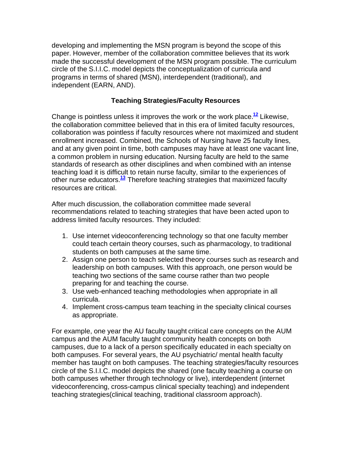developing and implementing the MSN program is beyond the scope of this paper. However, member of the collaboration committee believes that its work made the successful development of the MSN program possible. The curriculum circle of the S.I.I.C. model depicts the conceptualization of curricula and programs in terms of shared (MSN), interdependent (traditional), and independent (EARN, AND).

#### **Teaching Strategies/Faculty Resources**

Change is pointless unless it improves the work or the work place.**<sup>12</sup>** Likewise, the collaboration committee believed that in this era of limited faculty resources, collaboration was pointless if faculty resources where not maximized and student enrollment increased. Combined, the Schools of Nursing have 25 faculty lines, and at any given point in time, both campuses may have at least one vacant line, a common problem in nursing education. Nursing faculty are held to the same standards of research as other disciplines and when combined with an intense teaching load it is difficult to retain nurse faculty, similar to the experiences of other nurse educators.**<sup>13</sup>** Therefore teaching strategies that maximized faculty resources are critical.

After much discussion, the collaboration committee made several recommendations related to teaching strategies that have been acted upon to address limited faculty resources. They included:

- 1. Use internet videoconferencing technology so that one faculty member could teach certain theory courses, such as pharmacology, to traditional students on both campuses at the same time.
- 2. Assign one person to teach selected theory courses such as research and leadership on both campuses. With this approach, one person would be teaching two sections of the same course rather than two people preparing for and teaching the course.
- 3. Use web-enhanced teaching methodologies when appropriate in all curricula.
- 4. Implement cross-campus team teaching in the specialty clinical courses as appropriate.

For example, one year the AU faculty taught critical care concepts on the AUM campus and the AUM faculty taught community health concepts on both campuses, due to a lack of a person specifically educated in each specialty on both campuses. For several years, the AU psychiatric/ mental health faculty member has taught on both campuses. The teaching strategies/faculty resources circle of the S.I.I.C. model depicts the shared (one faculty teaching a course on both campuses whether through technology or live), interdependent (internet videoconferencing, cross-campus clinical specialty teaching) and independent teaching strategies(clinical teaching, traditional classroom approach).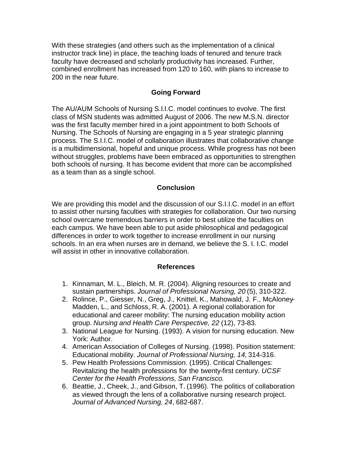With these strategies (and others such as the implementation of a clinical instructor track line) in place, the teaching loads of tenured and tenure track faculty have decreased and scholarly productivity has increased. Further, combined enrollment has increased from 120 to 160, with plans to increase to 200 in the near future.

#### **Going Forward**

The AU/AUM Schools of Nursing S.I.I.C. model continues to evolve. The first class of MSN students was admitted August of 2006. The new M.S.N. director was the first faculty member hired in a joint appointment to both Schools of Nursing. The Schools of Nursing are engaging in a 5 year strategic planning process. The S.I.I.C. model of collaboration illustrates that collaborative change is a multidimensional, hopeful and unique process. While progress has not been without struggles, problems have been embraced as opportunities to strengthen both schools of nursing. It has become evident that more can be accomplished as a team than as a single school.

#### **Conclusion**

We are providing this model and the discussion of our S.I.I.C. model in an effort to assist other nursing faculties with strategies for collaboration. Our two nursing school overcame tremendous barriers in order to best utilize the faculties on each campus. We have been able to put aside philosophical and pedagogical differences in order to work together to increase enrollment in our nursing schools. In an era when nurses are in demand, we believe the S. I. I.C. model will assist in other in innovative collaboration.

#### **References**

- 1. Kinnaman, M. L., Bleich, M. R. (2004). Aligning resources to create and sustain partnerships. *Journal of Professional Nursing, 20* (5), 310-322.
- 2. Rolince, P., Giesser, N., Greg, J., Knittel, K., Mahowald, J. F., McAloney-Madden, L., and Schloss, R. A. (2001). A regional collaboration for educational and career mobility: The nursing education mobility action group. *Nursing and Health Care Perspective, 22* (12), 73-83.
- 3. National League for Nursing. (1993). A vision for nursing education. New York: Author.
- 4. American Association of Colleges of Nursing. (1998). Position statement: Educational mobility. *Journal of Professional Nursing, 14,* 314-316.
- 5. Pew Health Professions Commission. (1995). Critical Challenges: Revitalizing the health professions for the twenty-first century. *UCSF Center for the Health Professions, San Francisco.*
- 6. Beattie, J., Cheek, J., and Gibson, T. (1996). The politics of collaboration as viewed through the lens of a collaborative nursing research project. *Journal of Advanced Nursing, 24*, 682-687.